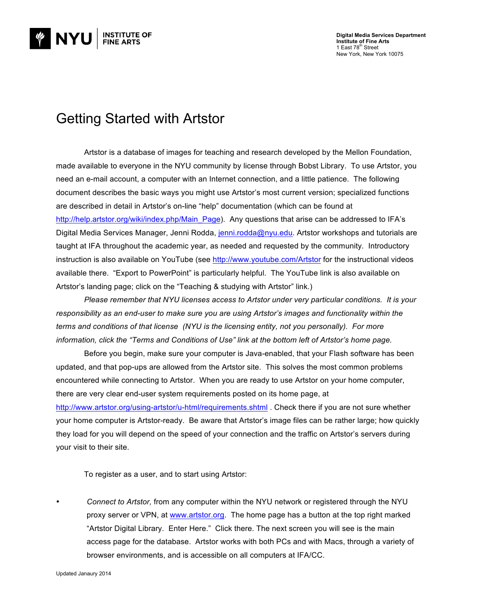

## Getting Started with Artstor

Artstor is a database of images for teaching and research developed by the Mellon Foundation, made available to everyone in the NYU community by license through Bobst Library. To use Artstor, you need an e-mail account, a computer with an Internet connection, and a little patience. The following document describes the basic ways you might use Artstor's most current version; specialized functions are described in detail in Artstor's on-line "help" documentation (which can be found at http://help.artstor.org/wiki/index.php/Main\_Page). Any questions that arise can be addressed to IFA's Digital Media Services Manager, Jenni Rodda, jenni.rodda@nyu.edu. Artstor workshops and tutorials are taught at IFA throughout the academic year, as needed and requested by the community. Introductory instruction is also available on YouTube (see http://www.youtube.com/Artstor for the instructional videos available there. "Export to PowerPoint" is particularly helpful. The YouTube link is also available on Artstor's landing page; click on the "Teaching & studying with Artstor" link.)

*Please remember that NYU licenses access to Artstor under very particular conditions. It is your responsibility as an end-user to make sure you are using Artstor's images and functionality within the terms and conditions of that license (NYU is the licensing entity, not you personally). For more information, click the "Terms and Conditions of Use" link at the bottom left of Artstor's home page.*

Before you begin, make sure your computer is Java-enabled, that your Flash software has been updated, and that pop-ups are allowed from the Artstor site. This solves the most common problems encountered while connecting to Artstor. When you are ready to use Artstor on your home computer, there are very clear end-user system requirements posted on its home page, at http://www.artstor.org/using-artstor/u-html/requirements.shtml . Check there if you are not sure whether your home computer is Artstor-ready. Be aware that Artstor's image files can be rather large; how quickly they load for you will depend on the speed of your connection and the traffic on Artstor's servers during your visit to their site.

To register as a user, and to start using Artstor:

• *Connect to Artstor,* from any computer within the NYU network or registered through the NYU proxy server or VPN, at www.artstor.org. The home page has a button at the top right marked "Artstor Digital Library. Enter Here." Click there. The next screen you will see is the main access page for the database. Artstor works with both PCs and with Macs, through a variety of browser environments, and is accessible on all computers at IFA/CC.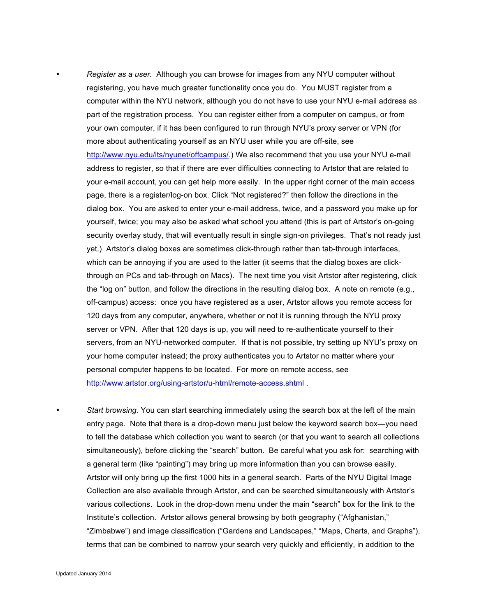- *Register as a user.* Although you can browse for images from any NYU computer without registering, you have much greater functionality once you do. You MUST register from a computer within the NYU network, although you do not have to use your NYU e-mail address as part of the registration process. You can register either from a computer on campus, or from your own computer, if it has been configured to run through NYU's proxy server or VPN (for more about authenticating yourself as an NYU user while you are off-site, see http://www.nyu.edu/its/nyunet/offcampus/.) We also recommend that you use your NYU e-mail address to register, so that if there are ever difficulties connecting to Artstor that are related to your e-mail account, you can get help more easily. In the upper right corner of the main access page, there is a register/log-on box. Click "Not registered?" then follow the directions in the dialog box. You are asked to enter your e-mail address, twice, and a password you make up for yourself, twice; you may also be asked what school you attend (this is part of Artstor's on-going security overlay study, that will eventually result in single sign-on privileges. That's not ready just yet.) Artstor's dialog boxes are sometimes click-through rather than tab-through interfaces, which can be annoying if you are used to the latter (it seems that the dialog boxes are clickthrough on PCs and tab-through on Macs). The next time you visit Artstor after registering, click the "log on" button, and follow the directions in the resulting dialog box. A note on remote (e.g., off-campus) access: once you have registered as a user, Artstor allows you remote access for 120 days from any computer, anywhere, whether or not it is running through the NYU proxy server or VPN. After that 120 days is up, you will need to re-authenticate yourself to their servers, from an NYU-networked computer. If that is not possible, try setting up NYU's proxy on your home computer instead; the proxy authenticates you to Artstor no matter where your personal computer happens to be located. For more on remote access, see http://www.artstor.org/using-artstor/u-html/remote-access.shtml .
	- *Start browsing.* You can start searching immediately using the search box at the left of the main entry page. Note that there is a drop-down menu just below the keyword search box—you need to tell the database which collection you want to search (or that you want to search all collections simultaneously), before clicking the "search" button. Be careful what you ask for: searching with a general term (like "painting") may bring up more information than you can browse easily. Artstor will only bring up the first 1000 hits in a general search. Parts of the NYU Digital Image Collection are also available through Artstor, and can be searched simultaneously with Artstor's various collections. Look in the drop-down menu under the main "search" box for the link to the Institute's collection. Artstor allows general browsing by both geography ("Afghanistan," "Zimbabwe") and image classification ("Gardens and Landscapes," "Maps, Charts, and Graphs"), terms that can be combined to narrow your search very quickly and efficiently, in addition to the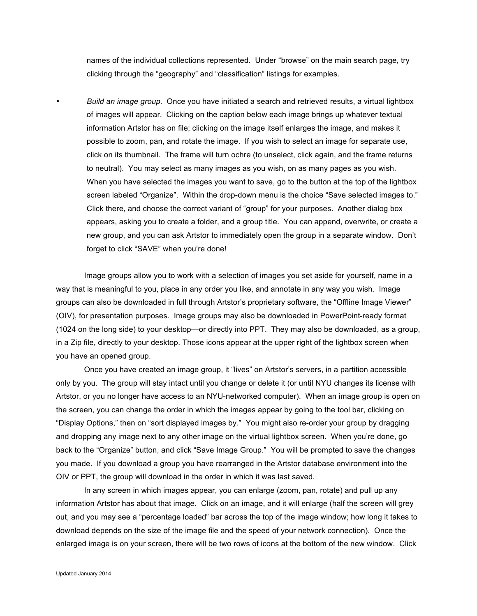names of the individual collections represented. Under "browse" on the main search page, try clicking through the "geography" and "classification" listings for examples.

• *Build an image group.* Once you have initiated a search and retrieved results, a virtual lightbox of images will appear. Clicking on the caption below each image brings up whatever textual information Artstor has on file; clicking on the image itself enlarges the image, and makes it possible to zoom, pan, and rotate the image. If you wish to select an image for separate use, click on its thumbnail. The frame will turn ochre (to unselect, click again, and the frame returns to neutral). You may select as many images as you wish, on as many pages as you wish. When you have selected the images you want to save, go to the button at the top of the lightbox screen labeled "Organize". Within the drop-down menu is the choice "Save selected images to." Click there, and choose the correct variant of "group" for your purposes. Another dialog box appears, asking you to create a folder, and a group title. You can append, overwrite, or create a new group, and you can ask Artstor to immediately open the group in a separate window. Don't forget to click "SAVE" when you're done!

Image groups allow you to work with a selection of images you set aside for yourself, name in a way that is meaningful to you, place in any order you like, and annotate in any way you wish. Image groups can also be downloaded in full through Artstor's proprietary software, the "Offline Image Viewer" (OIV), for presentation purposes. Image groups may also be downloaded in PowerPoint-ready format (1024 on the long side) to your desktop—or directly into PPT. They may also be downloaded, as a group, in a Zip file, directly to your desktop. Those icons appear at the upper right of the lightbox screen when you have an opened group.

Once you have created an image group, it "lives" on Artstor's servers, in a partition accessible only by you. The group will stay intact until you change or delete it (or until NYU changes its license with Artstor, or you no longer have access to an NYU-networked computer). When an image group is open on the screen, you can change the order in which the images appear by going to the tool bar, clicking on "Display Options," then on "sort displayed images by." You might also re-order your group by dragging and dropping any image next to any other image on the virtual lightbox screen. When you're done, go back to the "Organize" button, and click "Save Image Group." You will be prompted to save the changes you made. If you download a group you have rearranged in the Artstor database environment into the OIV or PPT, the group will download in the order in which it was last saved.

In any screen in which images appear, you can enlarge (zoom, pan, rotate) and pull up any information Artstor has about that image. Click on an image, and it will enlarge (half the screen will grey out, and you may see a "percentage loaded" bar across the top of the image window; how long it takes to download depends on the size of the image file and the speed of your network connection). Once the enlarged image is on your screen, there will be two rows of icons at the bottom of the new window. Click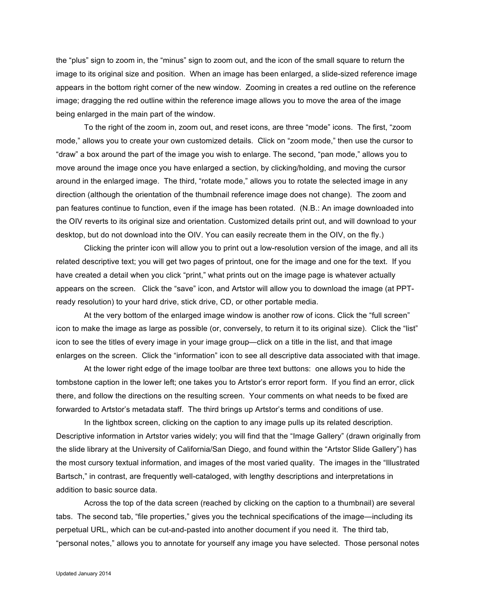the "plus" sign to zoom in, the "minus" sign to zoom out, and the icon of the small square to return the image to its original size and position. When an image has been enlarged, a slide-sized reference image appears in the bottom right corner of the new window. Zooming in creates a red outline on the reference image; dragging the red outline within the reference image allows you to move the area of the image being enlarged in the main part of the window.

To the right of the zoom in, zoom out, and reset icons, are three "mode" icons. The first, "zoom mode," allows you to create your own customized details. Click on "zoom mode," then use the cursor to "draw" a box around the part of the image you wish to enlarge. The second, "pan mode," allows you to move around the image once you have enlarged a section, by clicking/holding, and moving the cursor around in the enlarged image. The third, "rotate mode," allows you to rotate the selected image in any direction (although the orientation of the thumbnail reference image does not change). The zoom and pan features continue to function, even if the image has been rotated. (N.B.: An image downloaded into the OIV reverts to its original size and orientation. Customized details print out, and will download to your desktop, but do not download into the OIV. You can easily recreate them in the OIV, on the fly.)

Clicking the printer icon will allow you to print out a low-resolution version of the image, and all its related descriptive text; you will get two pages of printout, one for the image and one for the text. If you have created a detail when you click "print," what prints out on the image page is whatever actually appears on the screen. Click the "save" icon, and Artstor will allow you to download the image (at PPTready resolution) to your hard drive, stick drive, CD, or other portable media.

At the very bottom of the enlarged image window is another row of icons. Click the "full screen" icon to make the image as large as possible (or, conversely, to return it to its original size). Click the "list" icon to see the titles of every image in your image group—click on a title in the list, and that image enlarges on the screen. Click the "information" icon to see all descriptive data associated with that image.

At the lower right edge of the image toolbar are three text buttons: one allows you to hide the tombstone caption in the lower left; one takes you to Artstor's error report form. If you find an error, click there, and follow the directions on the resulting screen. Your comments on what needs to be fixed are forwarded to Artstor's metadata staff. The third brings up Artstor's terms and conditions of use.

In the lightbox screen, clicking on the caption to any image pulls up its related description. Descriptive information in Artstor varies widely; you will find that the "Image Gallery" (drawn originally from the slide library at the University of California/San Diego, and found within the "Artstor Slide Gallery") has the most cursory textual information, and images of the most varied quality. The images in the "Illustrated Bartsch," in contrast, are frequently well-cataloged, with lengthy descriptions and interpretations in addition to basic source data.

Across the top of the data screen (reached by clicking on the caption to a thumbnail) are several tabs. The second tab, "file properties," gives you the technical specifications of the image—including its perpetual URL, which can be cut-and-pasted into another document if you need it. The third tab, "personal notes," allows you to annotate for yourself any image you have selected. Those personal notes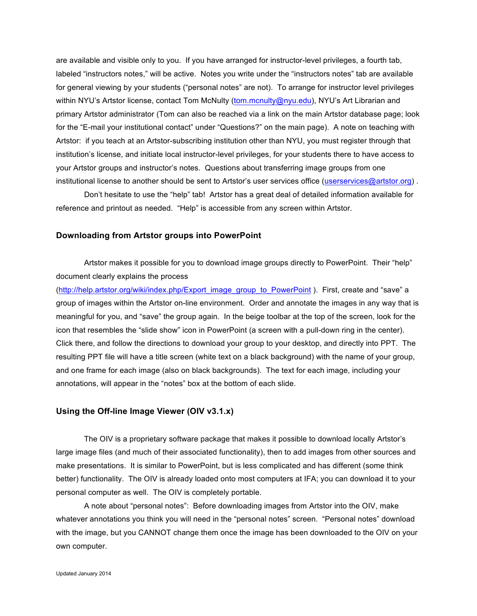are available and visible only to you. If you have arranged for instructor-level privileges, a fourth tab, labeled "instructors notes," will be active. Notes you write under the "instructors notes" tab are available for general viewing by your students ("personal notes" are not). To arrange for instructor level privileges within NYU's Artstor license, contact Tom McNulty (tom.mcnulty@nyu.edu), NYU's Art Librarian and primary Artstor administrator (Tom can also be reached via a link on the main Artstor database page; look for the "E-mail your institutional contact" under "Questions?" on the main page). A note on teaching with Artstor: if you teach at an Artstor-subscribing institution other than NYU, you must register through that institution's license, and initiate local instructor-level privileges, for your students there to have access to your Artstor groups and instructor's notes. Questions about transferring image groups from one institutional license to another should be sent to Artstor's user services office (userservices@artstor.org).

Don't hesitate to use the "help" tab! Artstor has a great deal of detailed information available for reference and printout as needed. "Help" is accessible from any screen within Artstor.

## **Downloading from Artstor groups into PowerPoint**

Artstor makes it possible for you to download image groups directly to PowerPoint. Their "help" document clearly explains the process

(http://help.artstor.org/wiki/index.php/Export\_image\_group\_to\_PowerPoint ). First, create and "save" a group of images within the Artstor on-line environment. Order and annotate the images in any way that is meaningful for you, and "save" the group again. In the beige toolbar at the top of the screen, look for the icon that resembles the "slide show" icon in PowerPoint (a screen with a pull-down ring in the center). Click there, and follow the directions to download your group to your desktop, and directly into PPT. The resulting PPT file will have a title screen (white text on a black background) with the name of your group, and one frame for each image (also on black backgrounds). The text for each image, including your annotations, will appear in the "notes" box at the bottom of each slide.

## **Using the Off-line Image Viewer (OIV v3.1.x)**

The OIV is a proprietary software package that makes it possible to download locally Artstor's large image files (and much of their associated functionality), then to add images from other sources and make presentations. It is similar to PowerPoint, but is less complicated and has different (some think better) functionality. The OIV is already loaded onto most computers at IFA; you can download it to your personal computer as well. The OIV is completely portable.

A note about "personal notes": Before downloading images from Artstor into the OIV, make whatever annotations you think you will need in the "personal notes" screen. "Personal notes" download with the image, but you CANNOT change them once the image has been downloaded to the OIV on your own computer.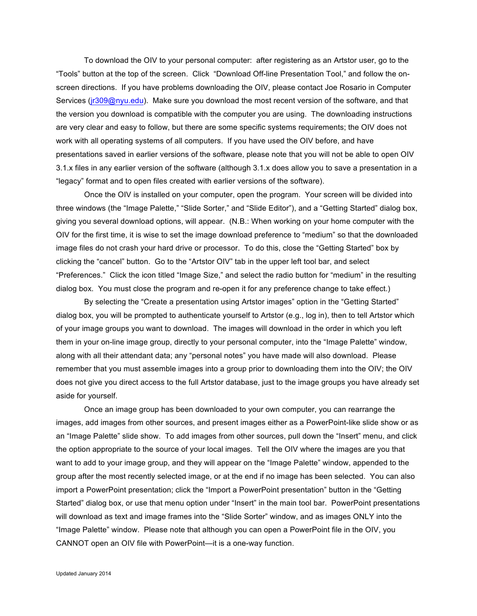To download the OIV to your personal computer: after registering as an Artstor user, go to the "Tools" button at the top of the screen. Click "Download Off-line Presentation Tool," and follow the onscreen directions. If you have problems downloading the OIV, please contact Joe Rosario in Computer Services (jr309@nyu.edu). Make sure you download the most recent version of the software, and that the version you download is compatible with the computer you are using. The downloading instructions are very clear and easy to follow, but there are some specific systems requirements; the OIV does not work with all operating systems of all computers. If you have used the OIV before, and have presentations saved in earlier versions of the software, please note that you will not be able to open OIV 3.1.x files in any earlier version of the software (although 3.1.x does allow you to save a presentation in a "legacy" format and to open files created with earlier versions of the software).

Once the OIV is installed on your computer, open the program. Your screen will be divided into three windows (the "Image Palette," "Slide Sorter," and "Slide Editor"), and a "Getting Started" dialog box, giving you several download options, will appear. (N.B.: When working on your home computer with the OIV for the first time, it is wise to set the image download preference to "medium" so that the downloaded image files do not crash your hard drive or processor. To do this, close the "Getting Started" box by clicking the "cancel" button. Go to the "Artstor OIV" tab in the upper left tool bar, and select "Preferences." Click the icon titled "Image Size," and select the radio button for "medium" in the resulting dialog box. You must close the program and re-open it for any preference change to take effect.)

By selecting the "Create a presentation using Artstor images" option in the "Getting Started" dialog box, you will be prompted to authenticate yourself to Artstor (e.g., log in), then to tell Artstor which of your image groups you want to download. The images will download in the order in which you left them in your on-line image group, directly to your personal computer, into the "Image Palette" window, along with all their attendant data; any "personal notes" you have made will also download. Please remember that you must assemble images into a group prior to downloading them into the OIV; the OIV does not give you direct access to the full Artstor database, just to the image groups you have already set aside for yourself.

Once an image group has been downloaded to your own computer, you can rearrange the images, add images from other sources, and present images either as a PowerPoint-like slide show or as an "Image Palette" slide show. To add images from other sources, pull down the "Insert" menu, and click the option appropriate to the source of your local images. Tell the OIV where the images are you that want to add to your image group, and they will appear on the "Image Palette" window, appended to the group after the most recently selected image, or at the end if no image has been selected. You can also import a PowerPoint presentation; click the "Import a PowerPoint presentation" button in the "Getting Started" dialog box, or use that menu option under "Insert" in the main tool bar. PowerPoint presentations will download as text and image frames into the "Slide Sorter" window, and as images ONLY into the "Image Palette" window. Please note that although you can open a PowerPoint file in the OIV, you CANNOT open an OIV file with PowerPoint—it is a one-way function.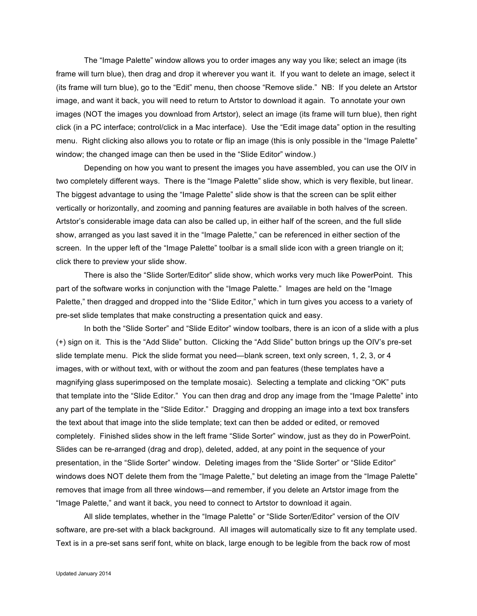The "Image Palette" window allows you to order images any way you like; select an image (its frame will turn blue), then drag and drop it wherever you want it. If you want to delete an image, select it (its frame will turn blue), go to the "Edit" menu, then choose "Remove slide." NB: If you delete an Artstor image, and want it back, you will need to return to Artstor to download it again. To annotate your own images (NOT the images you download from Artstor), select an image (its frame will turn blue), then right click (in a PC interface; control/click in a Mac interface). Use the "Edit image data" option in the resulting menu. Right clicking also allows you to rotate or flip an image (this is only possible in the "Image Palette" window; the changed image can then be used in the "Slide Editor" window.)

Depending on how you want to present the images you have assembled, you can use the OIV in two completely different ways. There is the "Image Palette" slide show, which is very flexible, but linear. The biggest advantage to using the "Image Palette" slide show is that the screen can be split either vertically or horizontally, and zooming and panning features are available in both halves of the screen. Artstor's considerable image data can also be called up, in either half of the screen, and the full slide show, arranged as you last saved it in the "Image Palette," can be referenced in either section of the screen. In the upper left of the "Image Palette" toolbar is a small slide icon with a green triangle on it; click there to preview your slide show.

There is also the "Slide Sorter/Editor" slide show, which works very much like PowerPoint. This part of the software works in conjunction with the "Image Palette." Images are held on the "Image Palette," then dragged and dropped into the "Slide Editor," which in turn gives you access to a variety of pre-set slide templates that make constructing a presentation quick and easy.

In both the "Slide Sorter" and "Slide Editor" window toolbars, there is an icon of a slide with a plus (+) sign on it. This is the "Add Slide" button. Clicking the "Add Slide" button brings up the OIV's pre-set slide template menu. Pick the slide format you need—blank screen, text only screen, 1, 2, 3, or 4 images, with or without text, with or without the zoom and pan features (these templates have a magnifying glass superimposed on the template mosaic). Selecting a template and clicking "OK" puts that template into the "Slide Editor." You can then drag and drop any image from the "Image Palette" into any part of the template in the "Slide Editor." Dragging and dropping an image into a text box transfers the text about that image into the slide template; text can then be added or edited, or removed completely. Finished slides show in the left frame "Slide Sorter" window, just as they do in PowerPoint. Slides can be re-arranged (drag and drop), deleted, added, at any point in the sequence of your presentation, in the "Slide Sorter" window. Deleting images from the "Slide Sorter" or "Slide Editor" windows does NOT delete them from the "Image Palette," but deleting an image from the "Image Palette" removes that image from all three windows—and remember, if you delete an Artstor image from the "Image Palette," and want it back, you need to connect to Artstor to download it again.

All slide templates, whether in the "Image Palette" or "Slide Sorter/Editor" version of the OIV software, are pre-set with a black background. All images will automatically size to fit any template used. Text is in a pre-set sans serif font, white on black, large enough to be legible from the back row of most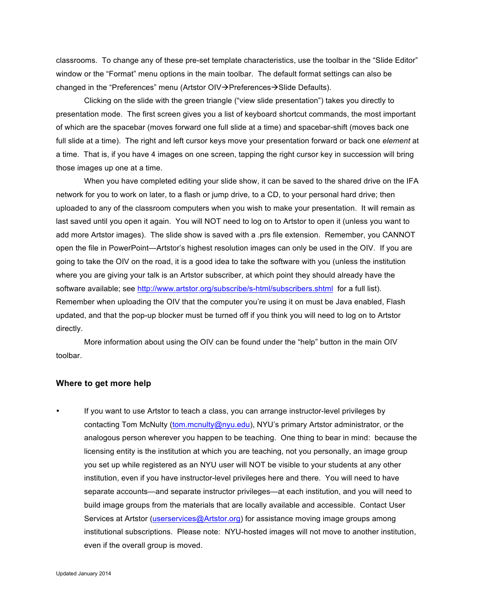classrooms. To change any of these pre-set template characteristics, use the toolbar in the "Slide Editor" window or the "Format" menu options in the main toolbar. The default format settings can also be changed in the "Preferences" menu (Artstor OIV $\rightarrow$ Preferences $\rightarrow$ Slide Defaults).

Clicking on the slide with the green triangle ("view slide presentation") takes you directly to presentation mode. The first screen gives you a list of keyboard shortcut commands, the most important of which are the spacebar (moves forward one full slide at a time) and spacebar-shift (moves back one full slide at a time). The right and left cursor keys move your presentation forward or back one *element* at a time. That is, if you have 4 images on one screen, tapping the right cursor key in succession will bring those images up one at a time.

When you have completed editing your slide show, it can be saved to the shared drive on the IFA network for you to work on later, to a flash or jump drive, to a CD, to your personal hard drive; then uploaded to any of the classroom computers when you wish to make your presentation. It will remain as last saved until you open it again. You will NOT need to log on to Artstor to open it (unless you want to add more Artstor images). The slide show is saved with a .prs file extension. Remember, you CANNOT open the file in PowerPoint—Artstor's highest resolution images can only be used in the OIV. If you are going to take the OIV on the road, it is a good idea to take the software with you (unless the institution where you are giving your talk is an Artstor subscriber, at which point they should already have the software available; see http://www.artstor.org/subscribe/s-html/subscribers.shtml for a full list). Remember when uploading the OIV that the computer you're using it on must be Java enabled, Flash updated, and that the pop-up blocker must be turned off if you think you will need to log on to Artstor directly.

More information about using the OIV can be found under the "help" button in the main OIV toolbar.

## **Where to get more help**

• If you want to use Artstor to teach a class, you can arrange instructor-level privileges by contacting Tom McNulty (tom.mcnulty@nyu.edu), NYU's primary Artstor administrator, or the analogous person wherever you happen to be teaching. One thing to bear in mind: because the licensing entity is the institution at which you are teaching, not you personally, an image group you set up while registered as an NYU user will NOT be visible to your students at any other institution, even if you have instructor-level privileges here and there. You will need to have separate accounts—and separate instructor privileges—at each institution, and you will need to build image groups from the materials that are locally available and accessible. Contact User Services at Artstor (userservices@Artstor.org) for assistance moving image groups among institutional subscriptions. Please note: NYU-hosted images will not move to another institution, even if the overall group is moved.